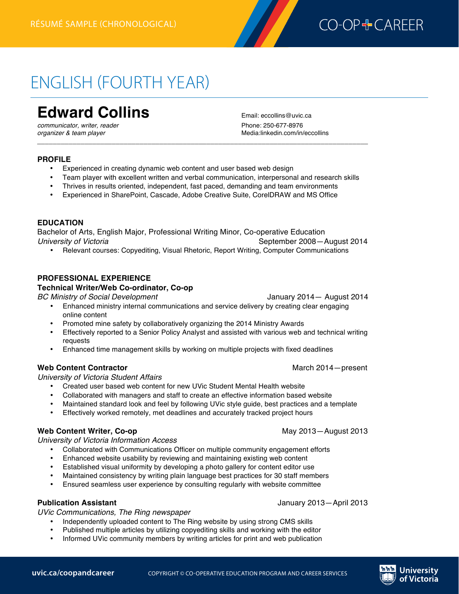

# ENGLISH (FOURTH YEAR)

# **Edward Collins** Email: eccollins@uvic.ca

*communicator, writer, reader* 

*organizer & team player* Media:linkedin.com/in/eccollins

#### **PROFILE**

- Experienced in creating dynamic web content and user based web design
- Team player with excellent written and verbal communication, interpersonal and research skills

*\_\_\_\_\_\_\_\_\_\_\_\_\_\_\_\_\_\_\_\_\_\_\_\_\_\_\_\_\_\_\_\_\_\_\_\_\_\_\_\_\_\_\_\_\_\_\_\_\_\_\_\_\_\_\_\_\_\_\_\_\_\_\_\_\_\_\_\_\_\_\_\_\_\_\_\_\_\_\_\_\_\_\_\_*

- Thrives in results oriented, independent, fast paced, demanding and team environments
- Experienced in SharePoint, Cascade, Adobe Creative Suite, CorelDRAW and MS Office

#### **EDUCATION**

Bachelor of Arts, English Major, Professional Writing Minor, Co-operative Education *University of Victoria* **September 2008**—August 2014

• Relevant courses: Copyediting, Visual Rhetoric, Report Writing, Computer Communications

#### **PROFESSIONAL EXPERIENCE**

#### **Technical Writer/Web Co-ordinator, Co-op**

*BC Ministry of Social Development* January 2014— August 2014

- Enhanced ministry internal communications and service delivery by creating clear engaging online content
- Promoted mine safety by collaboratively organizing the 2014 Ministry Awards
- Effectively reported to a Senior Policy Analyst and assisted with various web and technical writing requests
- Enhanced time management skills by working on multiple projects with fixed deadlines

#### **Web Content Contractor** March 2014—present

#### *University of Victoria Student Affairs*

- Created user based web content for new UVic Student Mental Health website
- Collaborated with managers and staff to create an effective information based website
- Maintained standard look and feel by following UVic style guide, best practices and a template<br>• Fffectively worked remotely, met deadlines and accurately tracked project hours
- Effectively worked remotely, met deadlines and accurately tracked project hours

#### **Web Content Writer, Co-op 2013** May 2013—August 2013

*University of Victoria Information Access*

- Collaborated with Communications Officer on multiple community engagement efforts
- Enhanced website usability by reviewing and maintaining existing web content
- Established visual uniformity by developing a photo gallery for content editor use
- Maintained consistency by writing plain language best practices for 30 staff members
- Ensured seamless user experience by consulting regularly with website committee

#### **Publication Assistant** January 2013—April 2013

*UVic Communications, The Ring newspaper*

- Independently uploaded content to The Ring website by using strong CMS skills
- Published multiple articles by utilizing copyediting skills and working with the editor
- Informed UVic community members by writing articles for print and web publication

respectfully